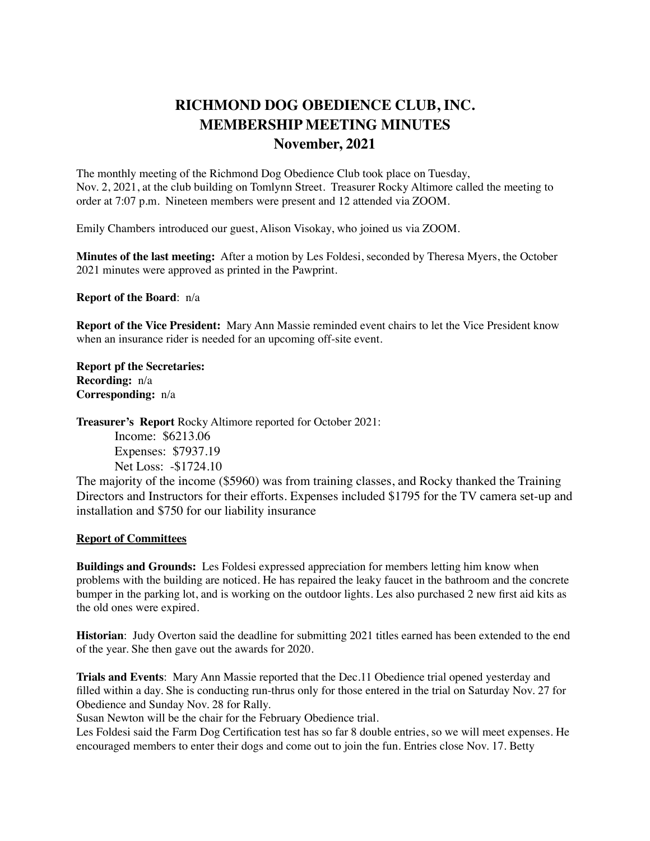## **RICHMOND DOG OBEDIENCE CLUB, INC. MEMBERSHIP MEETING MINUTES November, 2021**

The monthly meeting of the Richmond Dog Obedience Club took place on Tuesday, Nov. 2, 2021, at the club building on Tomlynn Street. Treasurer Rocky Altimore called the meeting to order at 7:07 p.m. Nineteen members were present and 12 attended via ZOOM.

Emily Chambers introduced our guest, Alison Visokay, who joined us via ZOOM.

**Minutes of the last meeting:** After a motion by Les Foldesi, seconded by Theresa Myers, the October 2021 minutes were approved as printed in the Pawprint.

**Report of the Board**: n/a

**Report of the Vice President:** Mary Ann Massie reminded event chairs to let the Vice President know when an insurance rider is needed for an upcoming off-site event.

**Report pf the Secretaries: Recording:** n/a **Corresponding:** n/a

**Treasurer's Report** Rocky Altimore reported for October 2021: Income: \$6213.06 Expenses: \$7937.19 Net Loss: -\$1724.10

The majority of the income (\$5960) was from training classes, and Rocky thanked the Training Directors and Instructors for their efforts. Expenses included \$1795 for the TV camera set-up and installation and \$750 for our liability insurance

## **Report of Committees**

**Buildings and Grounds:** Les Foldesi expressed appreciation for members letting him know when problems with the building are noticed. He has repaired the leaky faucet in the bathroom and the concrete bumper in the parking lot, and is working on the outdoor lights. Les also purchased 2 new first aid kits as the old ones were expired.

**Historian**: Judy Overton said the deadline for submitting 2021 titles earned has been extended to the end of the year. She then gave out the awards for 2020.

**Trials and Events**: Mary Ann Massie reported that the Dec.11 Obedience trial opened yesterday and filled within a day. She is conducting run-thrus only for those entered in the trial on Saturday Nov. 27 for Obedience and Sunday Nov. 28 for Rally.

Susan Newton will be the chair for the February Obedience trial.

Les Foldesi said the Farm Dog Certification test has so far 8 double entries, so we will meet expenses. He encouraged members to enter their dogs and come out to join the fun. Entries close Nov. 17. Betty